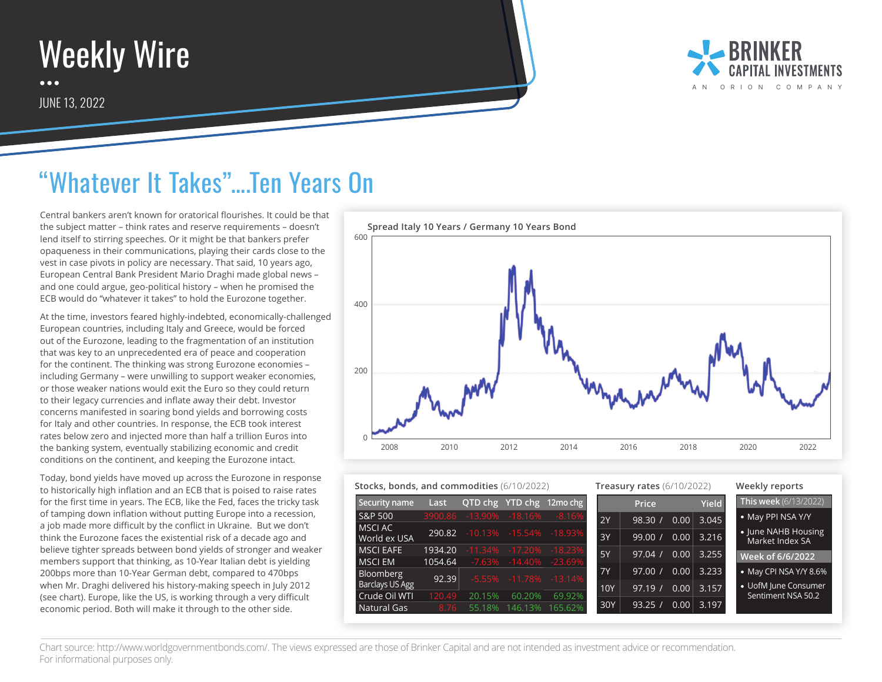

JUNE 13, 2022



## "Whatever It Takes"….Ten Years On

Central bankers aren't known for oratorical flourishes. It could be that the subject matter – think rates and reserve requirements – doesn't lend itself to stirring speeches. Or it might be that bankers prefer opaqueness in their communications, playing their cards close to the vest in case pivots in policy are necessary. That said, 10 years ago, European Central Bank President Mario Draghi made global news – and one could argue, geo-political history – when he promised the ECB would do "whatever it takes" to hold the Eurozone together.

At the time, investors feared highly-indebted, economically-challenged European countries, including Italy and Greece, would be forced out of the Eurozone, leading to the fragmentation of an institution that was key to an unprecedented era of peace and cooperation for the continent. The thinking was strong Eurozone economies – including Germany – were unwilling to support weaker economies, or those weaker nations would exit the Euro so they could return to their legacy currencies and inflate away their debt. Investor concerns manifested in soaring bond yields and borrowing costs for Italy and other countries. In response, the ECB took interest rates below zero and injected more than half a trillion Euros into the banking system, eventually stabilizing economic and credit conditions on the continent, and keeping the Eurozone intact.

Today, bond yields have moved up across the Eurozone in response to historically high inflation and an ECB that is poised to raise rates for the first time in years. The ECB, like the Fed, faces the tricky task of tamping down inflation without putting Europe into a recession, a job made more difficult by the conflict in Ukraine. But we don't think the Eurozone faces the existential risk of a decade ago and believe tighter spreads between bond yields of stronger and weaker members support that thinking, as 10-Year Italian debt is yielding 200bps more than 10-Year German debt, compared to 470bps when Mr. Draghi delivered his history-making speech in July 2012 (see chart). Europe, like the US, is working through a very difficult economic period. Both will make it through to the other side.



## **Stocks, bonds, and commodities** (6/10/2022) **Treasury rates** (6/10/2022) **Weekly reports**

| Security name                 | Last    |                         |                             | <b>QTD chg YTD chg 12mo chg</b>  |           | <b>Price</b> |                   | <b>Yield</b> | This week (6/13/2022)                  |
|-------------------------------|---------|-------------------------|-----------------------------|----------------------------------|-----------|--------------|-------------------|--------------|----------------------------------------|
| <b>S&amp;P 500</b>            |         | 3900.86 -13.90% -18.16% |                             | $-8.16%$                         | 2Y        | 98.30/       | 0.00              | 3.045        | · May PPI NSA Y/Y                      |
| <b>MSCLAC</b><br>World ex USA | 290.82  |                         |                             | $-10.13\% -15.54\% -18.93\%$     | 3Y        | 99.00 /      | 0.00              | 3.216        | • June NAHB Housing<br>Market Index SA |
| <b>MSCI EAFE</b>              | 1934.20 |                         |                             | $-11.34\%$ $-17.20\%$ $-18.23\%$ | 5Y        | 97.04/       | 0.00              | 3.255        |                                        |
| <b>MSCIEM</b>                 | 1054.64 |                         |                             | $-7.63\% -14.40\% -23.69\%$      |           |              |                   |              | Week of 6/6/2022                       |
| Bloomberg                     | 92.39   |                         | $-5.55\% -11.78\% -13.14\%$ |                                  | <b>7Y</b> | 97.00 /      | 0.00              | 3.233        | • May CPI NSA Y/Y 8.6%                 |
| Barclays US Agg               |         |                         |                             |                                  | 10Y       | 97.19        | 0.00 <sub>1</sub> | 3.157        | • UofM June Consumer                   |
| Crude Oil WTI                 | 120.49  | 20.15%                  | 60.20%                      | 69.92%                           |           |              |                   |              | Sentiment NSA 50.2                     |
| Natural Gas                   | 8.76    | 55.18%                  | 146.13%                     | 165.62%                          | 30Y       | 93.25        | 0.00              | 3.197        |                                        |

Chart source: http://www.worldgovernmentbonds.com/. The views expressed are those of Brinker Capital and are not intended as investment advice or recommendation. For informational purposes only.